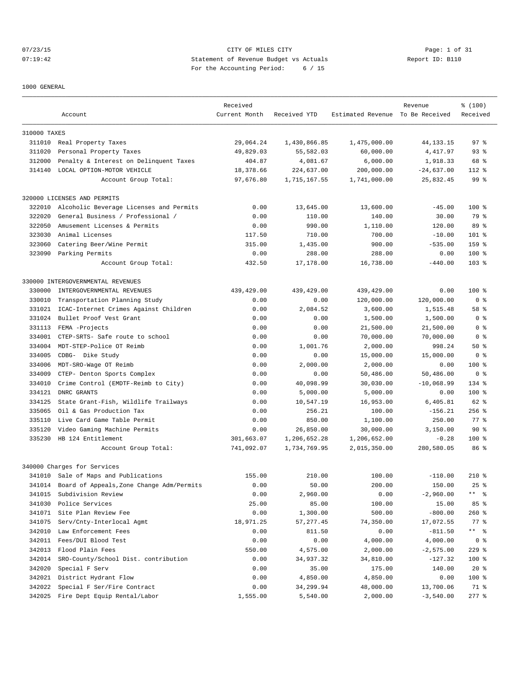07/23/15 Page: 1 of 31 07:19:42 Statement of Revenue Budget vs Actuals Report ID: B110 For the Accounting Period: 6 / 15

1000 GENERAL

|              |                                           | Received      |              |                                  | Revenue      | % (100)         |
|--------------|-------------------------------------------|---------------|--------------|----------------------------------|--------------|-----------------|
|              | Account                                   | Current Month | Received YTD | Estimated Revenue To Be Received |              | Received        |
| 310000 TAXES |                                           |               |              |                                  |              |                 |
|              | 311010 Real Property Taxes                | 29,064.24     | 1,430,866.85 | 1,475,000.00                     | 44, 133. 15  | 97 <sub>8</sub> |
| 311020       | Personal Property Taxes                   | 49,829.03     | 55,582.03    | 60,000.00                        | 4,417.97     | $93$ $%$        |
| 312000       | Penalty & Interest on Delinquent Taxes    | 404.87        | 4,081.67     | 6,000.00                         | 1,918.33     | 68 %            |
| 314140       | LOCAL OPTION-MOTOR VEHICLE                | 18,378.66     | 224,637.00   | 200,000.00                       | $-24,637.00$ | 112 %           |
|              | Account Group Total:                      | 97,676.80     | 1,715,167.55 | 1,741,000.00                     | 25,832.45    | 99 <sup>°</sup> |
|              | 320000 LICENSES AND PERMITS               |               |              |                                  |              |                 |
| 322010       | Alcoholic Beverage Licenses and Permits   | 0.00          | 13,645.00    | 13,600.00                        | $-45.00$     | $100*$          |
| 322020       | General Business / Professional /         | 0.00          | 110.00       | 140.00                           | 30.00        | 79 %            |
| 322050       | Amusement Licenses & Permits              | 0.00          | 990.00       | 1,110.00                         | 120.00       | 89 <sup>°</sup> |
| 323030       | Animal Licenses                           | 117.50        | 710.00       | 700.00                           | $-10.00$     | $101$ %         |
| 323060       | Catering Beer/Wine Permit                 | 315.00        | 1,435.00     | 900.00                           | $-535.00$    | 159 %           |
| 323090       | Parking Permits                           | 0.00          | 288.00       | 288.00                           | 0.00         | $100*$          |
|              | Account Group Total:                      | 432.50        | 17,178.00    | 16,738.00                        | $-440.00$    | $103$ %         |
|              | 330000 INTERGOVERNMENTAL REVENUES         |               |              |                                  |              |                 |
| 330000       | INTERGOVERNMENTAL REVENUES                | 439,429.00    | 439,429.00   | 439, 429.00                      | 0.00         | $100$ %         |
| 330010       | Transportation Planning Study             | 0.00          | 0.00         | 120,000.00                       | 120,000.00   | 0 <sup>8</sup>  |
| 331021       | ICAC-Internet Crimes Against Children     | 0.00          | 2,084.52     | 3,600.00                         | 1,515.48     | 58 %            |
| 331024       | Bullet Proof Vest Grant                   | 0.00          | 0.00         | 1,500.00                         | 1,500.00     | 0 <sup>8</sup>  |
| 331113       | FEMA -Projects                            | 0.00          | 0.00         | 21,500.00                        | 21,500.00    | 0 <sup>8</sup>  |
| 334001       | CTEP-SRTS- Safe route to school           | 0.00          | 0.00         | 70,000.00                        | 70,000.00    | 0 <sup>8</sup>  |
| 334004       | MDT-STEP-Police OT Reimb                  | 0.00          | 1,001.76     | 2,000.00                         | 998.24       | 50%             |
| 334005       | CDBG- Dike Study                          | 0.00          | 0.00         | 15,000.00                        | 15,000.00    | 0 <sup>8</sup>  |
| 334006       | MDT-SRO-Wage OT Reimb                     | 0.00          | 2,000.00     | 2,000.00                         | 0.00         | $100$ %         |
| 334009       | CTEP- Denton Sports Complex               | 0.00          | 0.00         | 50,486.00                        | 50,486.00    | 0 <sup>8</sup>  |
| 334010       | Crime Control (EMDTF-Reimb to City)       | 0.00          | 40,098.99    | 30,030.00                        | $-10,068.99$ | 134 %           |
| 334121       | DNRC GRANTS                               | 0.00          | 5,000.00     | 5,000.00                         | 0.00         | $100$ %         |
| 334125       | State Grant-Fish, Wildlife Trailways      | 0.00          | 10,547.19    | 16,953.00                        | 6,405.81     | 62 %            |
| 335065       | Oil & Gas Production Tax                  | 0.00          | 256.21       | 100.00                           | $-156.21$    | $256$ $%$       |
| 335110       | Live Card Game Table Permit               | 0.00          | 850.00       | 1,100.00                         | 250.00       | $77$ $%$        |
| 335120       | Video Gaming Machine Permits              | 0.00          | 26,850.00    | 30,000.00                        | 3,150.00     | 90%             |
| 335230       | HB 124 Entitlement                        | 301,663.07    | 1,206,652.28 | 1,206,652.00                     | $-0.28$      | $100$ %         |
|              | Account Group Total:                      | 741,092.07    | 1,734,769.95 | 2,015,350.00                     | 280,580.05   | 86 %            |
|              | 340000 Charges for Services               |               |              |                                  |              |                 |
|              | 341010 Sale of Maps and Publications      | 155.00        | 210.00       | 100.00                           | $-110.00$    | $210*$          |
| 341014       | Board of Appeals, Zone Change Adm/Permits | 0.00          | 50.00        | 200.00                           | 150.00       | $25$ %          |
| 341015       | Subdivision Review                        | 0.00          | 2,960.00     | 0.00                             | $-2,960.00$  |                 |
| 341030       | Police Services                           | 25.00         | 85.00        | 100.00                           | 15.00        | 85 %            |
| 341071       | Site Plan Review Fee                      | 0.00          | 1,300.00     | 500.00                           | $-800.00$    | $260$ %         |
| 341075       | Serv/Cnty-Interlocal Agmt                 | 18,971.25     | 57, 277.45   | 74,350.00                        | 17,072.55    | $77$ $%$        |
| 342010       | Law Enforcement Fees                      | 0.00          | 811.50       | 0.00                             | $-811.50$    | ** 응            |
| 342011       | Fees/DUI Blood Test                       | 0.00          | 0.00         | 4,000.00                         | 4,000.00     | 0 <sub>8</sub>  |
| 342013       | Flood Plain Fees                          | 550.00        | 4,575.00     | 2,000.00                         | $-2,575.00$  | 229 %           |
| 342014       | SRO-County/School Dist. contribution      | 0.00          | 34,937.32    | 34,810.00                        | $-127.32$    | 100 %           |
| 342020       | Special F Serv                            | 0.00          | 35.00        | 175.00                           | 140.00       | $20*$           |
| 342021       | District Hydrant Flow                     | 0.00          | 4,850.00     | 4,850.00                         | 0.00         | 100 %           |
| 342022       | Special F Ser/Fire Contract               | 0.00          | 34,299.94    | 48,000.00                        | 13,700.06    | 71 %            |
|              | 342025 Fire Dept Equip Rental/Labor       | 1,555.00      | 5,540.00     | 2,000.00                         | $-3,540.00$  | $277$ $%$       |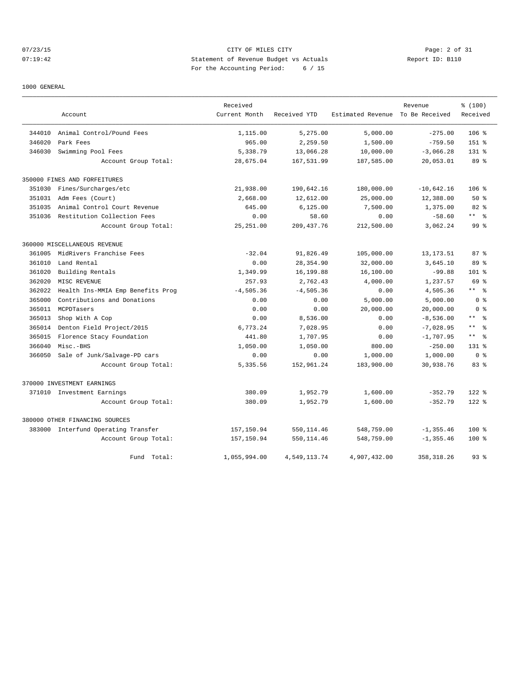# 07/23/15 Page: 2 of 31 07:19:42 Statement of Revenue Budget vs Actuals Report ID: B110 For the Accounting Period: 6 / 15

#### 1000 GENERAL

|        |                                     | Received      |              |                                  | Revenue      | % (100)                |
|--------|-------------------------------------|---------------|--------------|----------------------------------|--------------|------------------------|
|        | Account                             | Current Month | Received YTD | Estimated Revenue To Be Received |              | Received               |
| 344010 | Animal Control/Pound Fees           | 1,115.00      | 5,275.00     | 5,000.00                         | $-275.00$    | $106$ %                |
| 346020 | Park Fees                           | 965.00        | 2,259.50     | 1,500.00                         | $-759.50$    | $151*$                 |
| 346030 | Swimming Pool Fees                  | 5,338.79      | 13,066.28    | 10,000.00                        | $-3,066.28$  | $131*$                 |
|        | Account Group Total:                | 28,675.04     | 167,531.99   | 187,585.00                       | 20,053.01    | 89 %                   |
|        | 350000 FINES AND FORFEITURES        |               |              |                                  |              |                        |
| 351030 | Fines/Surcharges/etc                | 21,938.00     | 190,642.16   | 180,000.00                       | $-10,642.16$ | $106$ %                |
| 351031 | Adm Fees (Court)                    | 2,668.00      | 12,612.00    | 25,000.00                        | 12,388.00    | 50%                    |
| 351035 | Animal Control Court Revenue        | 645.00        | 6, 125.00    | 7,500.00                         | 1,375.00     | 82%                    |
| 351036 | Restitution Collection Fees         | 0.00          | 58.60        | 0.00                             | $-58.60$     | $***$ $ -$             |
|        | Account Group Total:                | 25, 251.00    | 209, 437.76  | 212,500.00                       | 3,062.24     | 99 <sup>8</sup>        |
|        | 360000 MISCELLANEOUS REVENUE        |               |              |                                  |              |                        |
| 361005 | MidRivers Franchise Fees            | $-32.04$      | 91,826.49    | 105,000.00                       | 13, 173. 51  | 87%                    |
| 361010 | Land Rental                         | 0.00          | 28,354.90    | 32,000.00                        | 3,645.10     | 89 %                   |
| 361020 | Building Rentals                    | 1,349.99      | 16,199.88    | 16,100.00                        | $-99.88$     | 101 %                  |
| 362020 | MISC REVENUE                        | 257.93        | 2.762.43     | 4,000.00                         | 1,237.57     | 69 %                   |
| 362022 | Health Ins-MMIA Emp Benefits Prog   | $-4,505.36$   | $-4,505.36$  | 0.00                             | 4,505.36     | $***$ %                |
| 365000 | Contributions and Donations         | 0.00          | 0.00         | 5,000.00                         | 5,000.00     | 0 <sup>8</sup>         |
| 365011 | MCPDTasers                          | 0.00          | 0.00         | 20,000.00                        | 20,000.00    | 0 <sup>8</sup>         |
| 365013 | Shop With A Cop                     | 0.00          | 8,536.00     | 0.00                             | $-8,536.00$  | $***$ $ -$             |
| 365014 | Denton Field Project/2015           | 6,773.24      | 7,028.95     | 0.00                             | $-7,028.95$  | $\star\star$<br>。<br>。 |
| 365015 | Florence Stacy Foundation           | 441.80        | 1,707.95     | 0.00                             | $-1,707.95$  | $***$ %                |
| 366040 | Misc.-BHS                           | 1,050.00      | 1,050.00     | 800.00                           | $-250.00$    | $131*$                 |
| 366050 | Sale of Junk/Salvage-PD cars        | 0.00          | 0.00         | 1,000.00                         | 1,000.00     | 0 <sup>8</sup>         |
|        | Account Group Total:                | 5,335.56      | 152,961.24   | 183,900.00                       | 30,938.76    | 83%                    |
|        | 370000 INVESTMENT EARNINGS          |               |              |                                  |              |                        |
|        | 371010 Investment Earnings          | 380.09        | 1,952.79     | 1,600.00                         | $-352.79$    | $122$ %                |
|        | Account Group Total:                | 380.09        | 1,952.79     | 1,600.00                         | $-352.79$    | $122$ $%$              |
|        | 380000 OTHER FINANCING SOURCES      |               |              |                                  |              |                        |
|        | 383000 Interfund Operating Transfer | 157, 150.94   | 550, 114.46  | 548,759.00                       | $-1, 355.46$ | $100*$                 |
|        | Account Group Total:                | 157,150.94    | 550,114.46   | 548,759.00                       | $-1, 355.46$ | $100*$                 |
|        | Fund<br>Total:                      | 1,055,994.00  | 4,549,113.74 | 4,907,432.00                     | 358, 318.26  | 93%                    |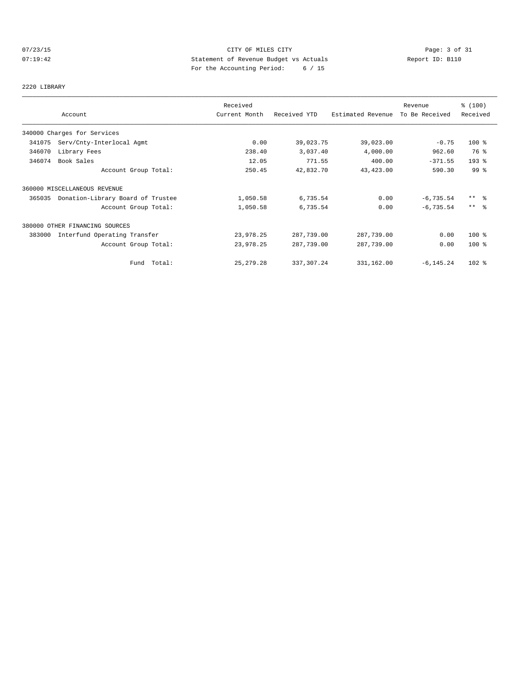# 07/23/15 Page: 3 of 31 07:19:42 Statement of Revenue Budget vs Actuals Report ID: B110 For the Accounting Period: 6 / 15

#### 2220 LIBRARY

|        |                                   | Received      |              |                   | Revenue        | % (100)             |
|--------|-----------------------------------|---------------|--------------|-------------------|----------------|---------------------|
|        | Account                           | Current Month | Received YTD | Estimated Revenue | To Be Received | Received            |
|        | 340000 Charges for Services       |               |              |                   |                |                     |
| 341075 | Serv/Cnty-Interlocal Agmt         | 0.00          | 39,023.75    | 39,023.00         | $-0.75$        | $100*$              |
| 346070 | Library Fees                      | 238.40        | 3,037.40     | 4,000.00          | 962.60         | 76 %                |
| 346074 | Book Sales                        | 12.05         | 771.55       | 400.00            | $-371.55$      | $193$ $%$           |
|        | Account Group Total:              | 250.45        | 42,832.70    | 43,423.00         | 590.30         | 99 %                |
|        | 360000 MISCELLANEOUS REVENUE      |               |              |                   |                |                     |
| 365035 | Donation-Library Board of Trustee | 1,050.58      | 6,735.54     | 0.00              | $-6,735.54$    | $***$ $\frac{6}{6}$ |
|        | Account Group Total:              | 1,050.58      | 6,735.54     | 0.00              | $-6, 735.54$   | $***$ $ -$          |
|        | 380000 OTHER FINANCING SOURCES    |               |              |                   |                |                     |
| 383000 | Interfund Operating Transfer      | 23,978.25     | 287,739.00   | 287,739.00        | 0.00           | $100*$              |
|        | Account Group Total:              | 23,978.25     | 287,739.00   | 287,739.00        | 0.00           | $100$ %             |
|        | Fund Total:                       | 25, 279. 28   | 337, 307.24  | 331,162.00        | $-6, 145.24$   | $102$ %             |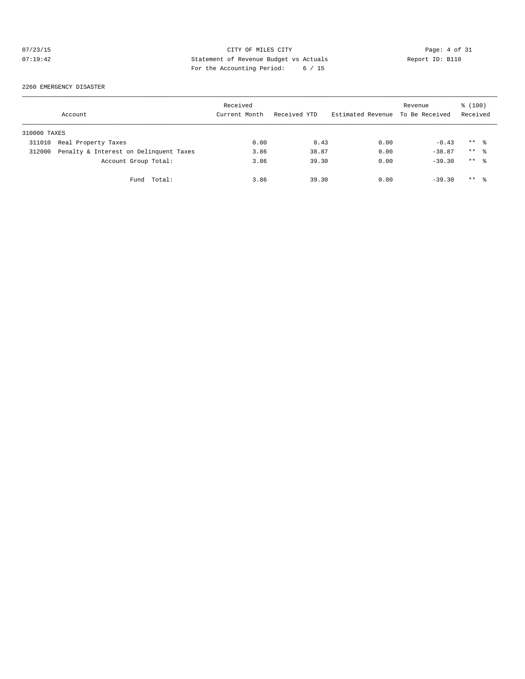# 07/23/15 CITY OF MILES CITY Page: 4 of 31<br>07:19:42 Statement of Revenue Budget vs Actuals Report ID: B110<br>Por the Accumular Device: (1) 07:19:42 Statement of Revenue Budget vs Actuals Report ID: B110 For the Accounting Period: 6 / 15

#### 2260 EMERGENCY DISASTER

|              | Account                                | Received<br>Current Month | Received YTD | Estimated Revenue To Be Received | Revenue  | \$(100)<br>Received |  |
|--------------|----------------------------------------|---------------------------|--------------|----------------------------------|----------|---------------------|--|
| 310000 TAXES |                                        |                           |              |                                  |          |                     |  |
| 311010       | Real Property Taxes                    | 0.00                      | 0.43         | 0.00                             | $-0.43$  | $***$ $\approx$     |  |
| 312000       | Penalty & Interest on Delinquent Taxes | 3.86                      | 38.87        | 0.00                             | $-38.87$ | $***$ $\frac{6}{2}$ |  |
|              | Account Group Total:                   | 3.86                      | 39.30        | 0.00                             | $-39.30$ | $***$ $\frac{6}{6}$ |  |
|              | Fund Total:                            | 3.86                      | 39.30        | 0.00                             | $-39.30$ | $***$ %             |  |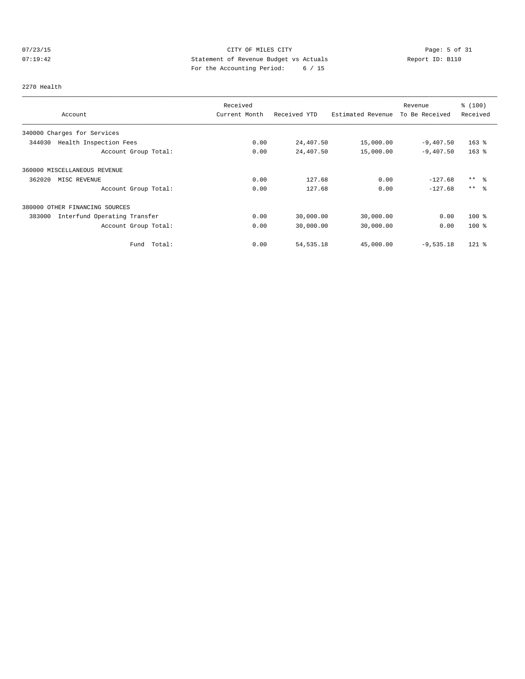# 07/23/15 Page: 5 of 31 07:19:42 Statement of Revenue Budget vs Actuals Report ID: B110 For the Accounting Period: 6 / 15

#### 2270 Health

|                                        | Received      |              |                   | Revenue        | % (100)   |
|----------------------------------------|---------------|--------------|-------------------|----------------|-----------|
| Account                                | Current Month | Received YTD | Estimated Revenue | To Be Received | Received  |
| 340000 Charges for Services            |               |              |                   |                |           |
| 344030<br>Health Inspection Fees       | 0.00          | 24,407.50    | 15,000.00         | $-9,407.50$    | $163$ $%$ |
| Account Group Total:                   | 0.00          | 24,407.50    | 15,000.00         | $-9,407.50$    | $163$ $%$ |
| 360000 MISCELLANEOUS REVENUE           |               |              |                   |                |           |
| 362020<br>MISC REVENUE                 | 0.00          | 127.68       | 0.00              | $-127.68$      | $***$ %   |
| Account Group Total:                   | 0.00          | 127.68       | 0.00              | $-127.68$      | $***$ %   |
| 380000 OTHER FINANCING SOURCES         |               |              |                   |                |           |
| 383000<br>Interfund Operating Transfer | 0.00          | 30,000.00    | 30,000.00         | 0.00           | $100*$    |
| Account Group Total:                   | 0.00          | 30,000.00    | 30,000.00         | 0.00           | $100*$    |
| Total:<br>Fund                         | 0.00          | 54, 535. 18  | 45,000.00         | $-9,535.18$    | $121$ %   |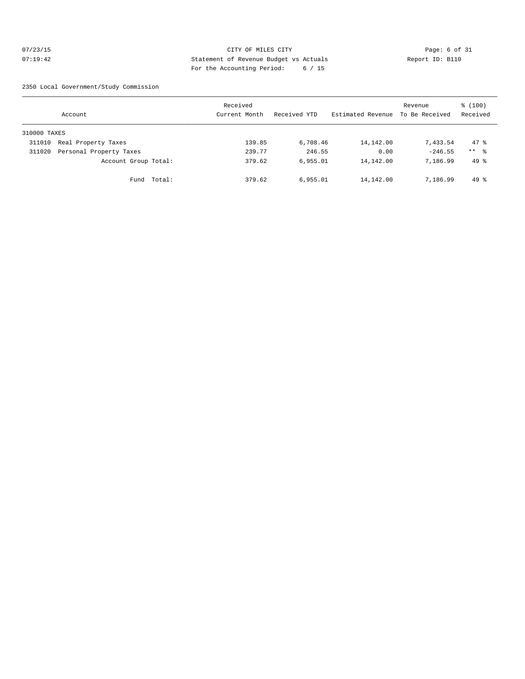# 07/23/15 CITY OF MILES CITY Page: 6 of 31 07:19:42 Statement of Revenue Budget vs Actuals Report ID: B110 For the Accounting Period: 6 / 15

2350 Local Government/Study Commission

|              | Account                 |             | Received<br>Current Month | Received YTD | Estimated Revenue | Revenue<br>To Be Received | \$(100)<br>Received |
|--------------|-------------------------|-------------|---------------------------|--------------|-------------------|---------------------------|---------------------|
| 310000 TAXES |                         |             |                           |              |                   |                           |                     |
| 311010       | Real Property Taxes     |             | 139.85                    | 6,708.46     | 14,142.00         | 7,433.54                  | 47.8                |
| 311020       | Personal Property Taxes |             | 239.77                    | 246.55       | 0.00              | $-246.55$                 | $***$ %             |
|              | Account Group Total:    |             | 379.62                    | 6,955.01     | 14,142.00         | 7,186.99                  | $49*$               |
|              |                         | Fund Total: | 379.62                    | 6,955.01     | 14,142.00         | 7,186.99                  | $49*$               |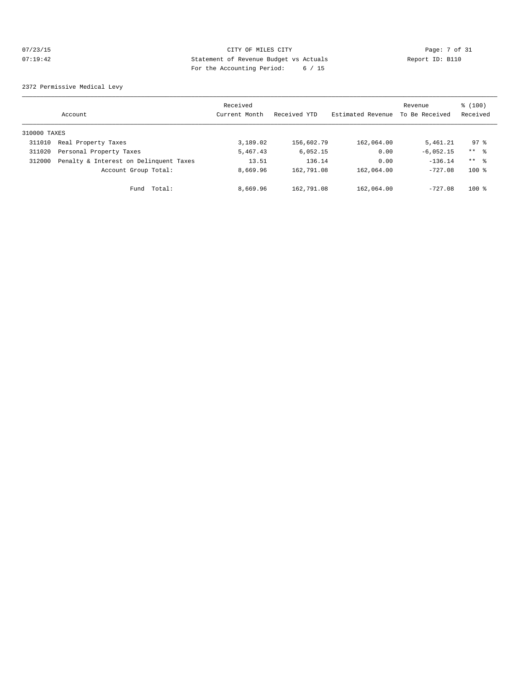# 07/23/15 CITY OF MILES CITY Page: 7 of 31<br>07:19:42 Statement of Revenue Budget vs Actuals Report ID: B110<br>Por the Accumular Device: 2016, 2017 07:19:42 Statement of Revenue Budget vs Actuals Report ID: B110 For the Accounting Period: 6 / 15

2372 Permissive Medical Levy

|              | Account                                | Received<br>Current Month | Received YTD | Estimated Revenue | Revenue<br>To Be Received | \$(100)<br>Received |
|--------------|----------------------------------------|---------------------------|--------------|-------------------|---------------------------|---------------------|
| 310000 TAXES |                                        |                           |              |                   |                           |                     |
| 311010       | Real Property Taxes                    | 3,189.02                  | 156,602.79   | 162,064.00        | 5,461.21                  | 97.8                |
| 311020       | Personal Property Taxes                | 5,467.43                  | 6,052.15     | 0.00              | $-6,052.15$               | $***$ %             |
| 312000       | Penalty & Interest on Delinquent Taxes | 13.51                     | 136.14       | 0.00              | $-136.14$                 | ** %                |
|              | Account Group Total:                   | 8,669.96                  | 162,791.08   | 162,064.00        | $-727.08$                 | $100*$              |
|              | Fund Total:                            | 8,669.96                  | 162,791.08   | 162,064.00        | $-727.08$                 | $100*$              |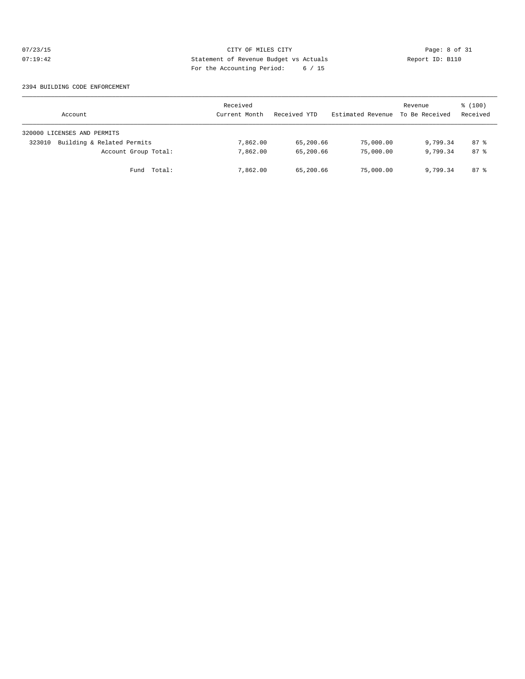# 07/23/15 CITY OF MILES CITY Page: 8 of 31<br>07:19:42 Statement of Revenue Budget vs Actuals Report ID: B110<br>Por the Accumular Device: (1) 07:19:42 Statement of Revenue Budget vs Actuals Report ID: B110 For the Accounting Period: 6 / 15

#### 2394 BUILDING CODE ENFORCEMENT

| Account                              | Received<br>Current Month | Received YTD | Estimated Revenue | Revenue<br>To Be Received | \$(100)<br>Received |
|--------------------------------------|---------------------------|--------------|-------------------|---------------------------|---------------------|
| 320000 LICENSES AND PERMITS          |                           |              |                   |                           |                     |
| Building & Related Permits<br>323010 | 7,862.00                  | 65,200.66    | 75,000.00         | 9,799.34                  | $87$ %              |
| Account Group Total:                 | 7,862.00                  | 65,200.66    | 75,000.00         | 9,799.34                  | 87 <sup>8</sup>     |
| Fund Total:                          | 7,862.00                  | 65,200.66    | 75,000.00         | 9,799.34                  | 87 %                |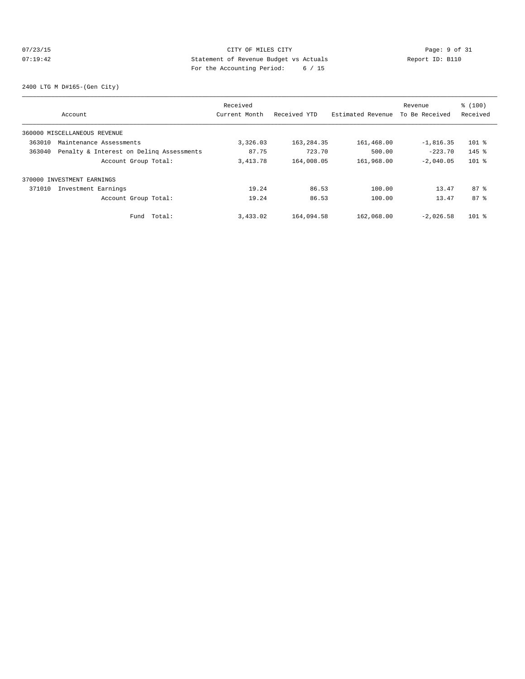# 07/23/15 CITY OF MILES CITY Page: 9 of 31<br>07:19:42 Statement of Revenue Budget vs Actuals Report ID: B110<br>Por the Accumular Device: (1) Case of 15 07:19:42 Statement of Revenue Budget vs Actuals Report ID: B110 For the Accounting Period: 6 / 15

2400 LTG M D#165-(Gen City)

|        |                                          | Received      |              |                   | Revenue        | % (100)         |
|--------|------------------------------------------|---------------|--------------|-------------------|----------------|-----------------|
|        | Account                                  | Current Month | Received YTD | Estimated Revenue | To Be Received | Received        |
|        | 360000 MISCELLANEOUS REVENUE             |               |              |                   |                |                 |
| 363010 | Maintenance Assessments                  | 3,326.03      | 163, 284. 35 | 161,468.00        | $-1,816.35$    | $101$ %         |
| 363040 | Penalty & Interest on Deling Assessments | 87.75         | 723.70       | 500.00            | $-223.70$      | $145$ %         |
|        | Account Group Total:                     | 3, 413.78     | 164,008.05   | 161,968.00        | $-2.040.05$    | $101$ %         |
|        | 370000 INVESTMENT EARNINGS               |               |              |                   |                |                 |
| 371010 | Investment Earnings                      | 19.24         | 86.53        | 100.00            | 13.47          | 87 <sup>8</sup> |
|        | Account Group Total:                     | 19.24         | 86.53        | 100.00            | 13.47          | 87 <sup>8</sup> |
|        | Total:<br>Fund                           | 3,433.02      | 164,094.58   | 162,068.00        | $-2.026.58$    | $101$ %         |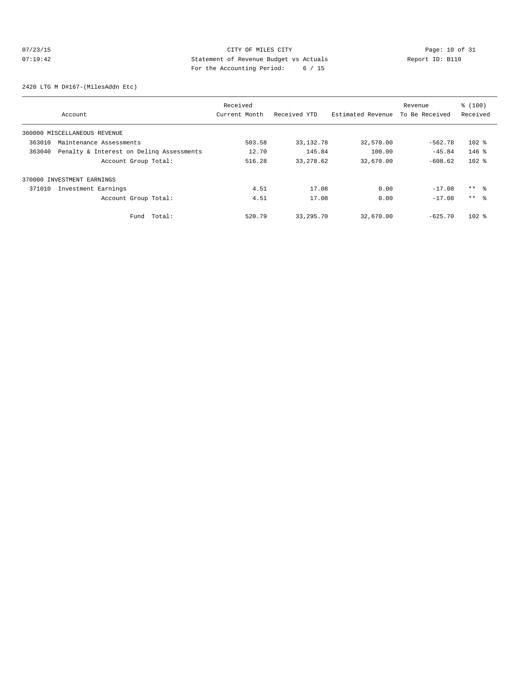# 07/23/15 Page: 10 of 31 07:19:42 Statement of Revenue Budget vs Actuals Report ID: B110 For the Accounting Period: 6 / 15

2420 LTG M D#167-(MilesAddn Etc)

|                                                    | Received      |              |                   | Revenue        | \$(100)  |
|----------------------------------------------------|---------------|--------------|-------------------|----------------|----------|
| Account                                            | Current Month | Received YTD | Estimated Revenue | To Be Received | Received |
| 360000 MISCELLANEOUS REVENUE                       |               |              |                   |                |          |
| 363010<br>Maintenance Assessments                  | 503.58        | 33, 132. 78  | 32,570.00         | $-562.78$      | $102$ %  |
| Penalty & Interest on Deling Assessments<br>363040 | 12.70         | 145.84       | 100.00            | $-45.84$       | $146$ %  |
| Account Group Total:                               | 516.28        | 33, 278.62   | 32,670.00         | $-608.62$      | $102$ %  |
| 370000 INVESTMENT EARNINGS                         |               |              |                   |                |          |
| 371010<br>Investment Earnings                      | 4.51          | 17.08        | 0.00              | $-17.08$       | $***$ %  |
| Account Group Total:                               | 4.51          | 17.08        | 0.00              | $-17.08$       | $***$ %  |
| Total:<br>Fund                                     | 520.79        | 33, 295. 70  | 32,670.00         | $-625.70$      | $102$ %  |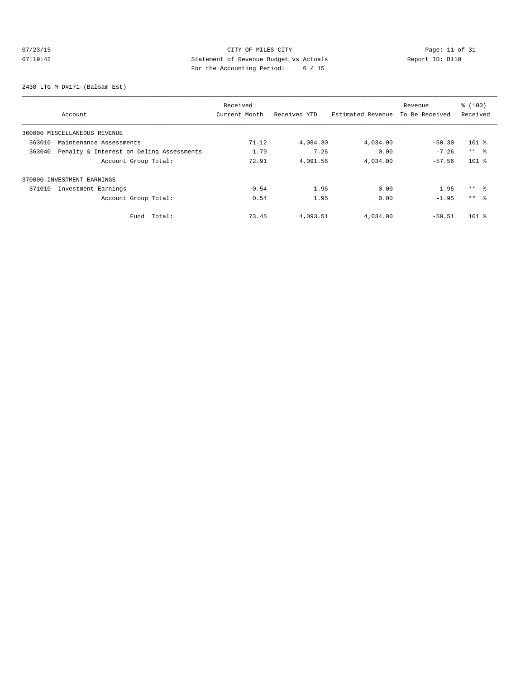# 07/23/15 Page: 11 of 31 07:19:42 Statement of Revenue Budget vs Actuals<br>
Report ID: B110 For the Accounting Period: 6 / 15

2430 LTG M D#171-(Balsam Est)

|        |                                          | Received      |              |                   | Revenue        | % (100)         |
|--------|------------------------------------------|---------------|--------------|-------------------|----------------|-----------------|
|        | Account                                  | Current Month | Received YTD | Estimated Revenue | To Be Received | Received        |
|        | 360000 MISCELLANEOUS REVENUE             |               |              |                   |                |                 |
| 363010 | Maintenance Assessments                  | 71.12         | 4,084.30     | 4,034.00          | $-50.30$       | $101$ %         |
| 363040 | Penalty & Interest on Deling Assessments | 1.79          | 7.26         | 0.00              | $-7.26$        | $***$ $\approx$ |
|        | Account Group Total:                     | 72.91         | 4,091.56     | 4,034.00          | $-57.56$       | $101$ %         |
|        | 370000 INVESTMENT EARNINGS               |               |              |                   |                |                 |
| 371010 | Investment Earnings                      | 0.54          | 1.95         | 0.00              | $-1.95$        | $***$ %         |
|        | Account Group Total:                     | 0.54          | 1.95         | 0.00              | $-1.95$        | $***$ %         |
|        | Total:<br>Fund                           | 73.45         | 4,093.51     | 4,034.00          | $-59.51$       | $101$ %         |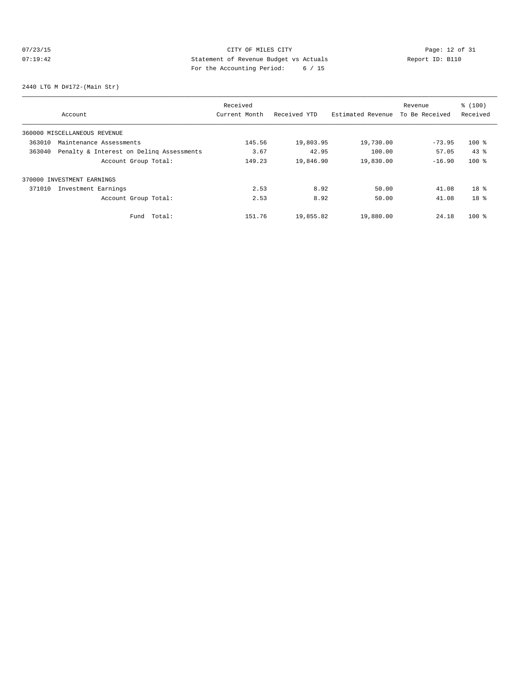# 07/23/15 Page: 12 of 31 07:19:42 Statement of Revenue Budget vs Actuals<br>
Report ID: B110 For the Accounting Period: 6 / 15

2440 LTG M D#172-(Main Str)

|        |                                          | Received      |              |                   | Revenue        | % (100)         |
|--------|------------------------------------------|---------------|--------------|-------------------|----------------|-----------------|
|        | Account                                  | Current Month | Received YTD | Estimated Revenue | To Be Received | Received        |
|        | 360000 MISCELLANEOUS REVENUE             |               |              |                   |                |                 |
| 363010 | Maintenance Assessments                  | 145.56        | 19,803.95    | 19,730.00         | $-73.95$       | $100*$          |
| 363040 | Penalty & Interest on Deling Assessments | 3.67          | 42.95        | 100.00            | 57.05          | $43*$           |
|        | Account Group Total:                     | 149.23        | 19,846.90    | 19,830.00         | $-16.90$       | $100$ %         |
|        | 370000 INVESTMENT EARNINGS               |               |              |                   |                |                 |
| 371010 | Investment Earnings                      | 2.53          | 8.92         | 50.00             | 41.08          | 18 <sup>8</sup> |
|        | Account Group Total:                     | 2.53          | 8.92         | 50.00             | 41.08          | 18 <sup>8</sup> |
|        | Total:<br>Fund                           | 151.76        | 19,855.82    | 19,880.00         | 24.18          | $100$ %         |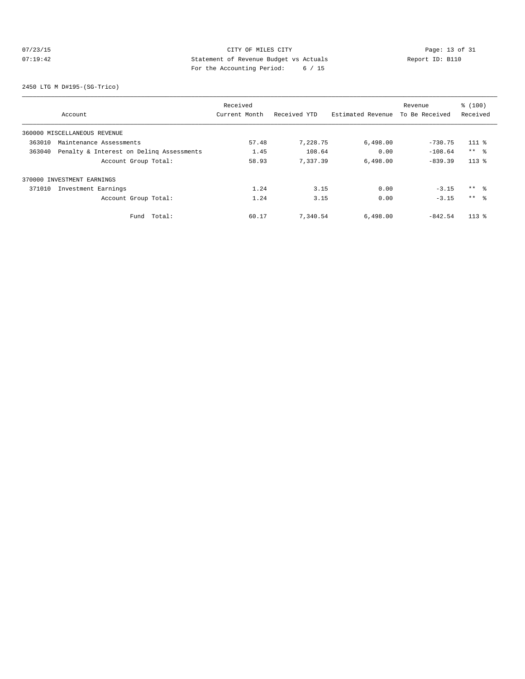# 07/23/15 CITY OF MILES CITY<br>07:19:42 2011 2013 2013 2014 2014 2014 2015<br>07:19:42 2011 2014 2014 2015 2016 2016 2017 2016 2017 07:19:42 Statement of Revenue Budget vs Actuals Report ID: B110 For the Accounting Period: 6 / 15

2450 LTG M D#195-(SG-Trico)

|        |                                          | Received      |              |                   | Revenue        | \$(100)  |
|--------|------------------------------------------|---------------|--------------|-------------------|----------------|----------|
|        | Account                                  | Current Month | Received YTD | Estimated Revenue | To Be Received | Received |
|        | 360000 MISCELLANEOUS REVENUE             |               |              |                   |                |          |
| 363010 | Maintenance Assessments                  | 57.48         | 7,228.75     | 6,498.00          | $-730.75$      | $111*$   |
| 363040 | Penalty & Interest on Deling Assessments | 1.45          | 108.64       | 0.00              | $-108.64$      | $***$ 8  |
|        | Account Group Total:                     | 58.93         | 7,337.39     | 6,498.00          | $-839.39$      | $113*$   |
|        | 370000 INVESTMENT EARNINGS               |               |              |                   |                |          |
| 371010 | Investment Earnings                      | 1.24          | 3.15         | 0.00              | $-3.15$        | $***$ %  |
|        | Account Group Total:                     | 1.24          | 3.15         | 0.00              | $-3.15$        | $***$ 8  |
|        | Total:<br>Fund                           | 60.17         | 7,340.54     | 6,498.00          | $-842.54$      | $113*$   |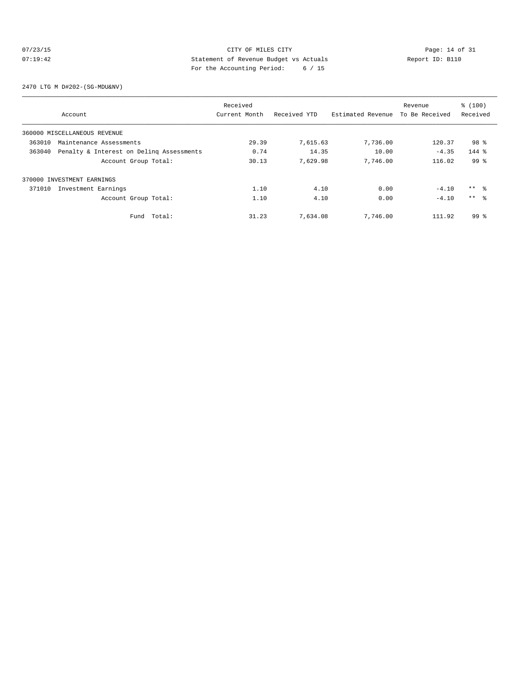# $07/23/15$  Page: 14 of 31 07:19:42 Statement of Revenue Budget vs Actuals Report ID: B110 For the Accounting Period: 6 / 15

2470 LTG M D#202-(SG-MDU&NV)

|        |                                          | Received      |              |                   | Revenue        | % (100)         |
|--------|------------------------------------------|---------------|--------------|-------------------|----------------|-----------------|
|        | Account                                  | Current Month | Received YTD | Estimated Revenue | To Be Received | Received        |
|        | 360000 MISCELLANEOUS REVENUE             |               |              |                   |                |                 |
| 363010 | Maintenance Assessments                  | 29.39         | 7,615.63     | 7,736.00          | 120.37         | 98 %            |
| 363040 | Penalty & Interest on Deling Assessments | 0.74          | 14.35        | 10.00             | $-4.35$        | $144$ %         |
|        | Account Group Total:                     | 30.13         | 7.629.98     | 7,746.00          | 116.02         | 99 <sup>8</sup> |
|        | 370000 INVESTMENT EARNINGS               |               |              |                   |                |                 |
| 371010 | Investment Earnings                      | 1.10          | 4.10         | 0.00              | $-4.10$        | $***$ $\approx$ |
|        | Account Group Total:                     | 1.10          | 4.10         | 0.00              | $-4.10$        | $***$ $\approx$ |
|        | Total:<br>Fund                           | 31.23         | 7,634.08     | 7,746.00          | 111.92         | 99 %            |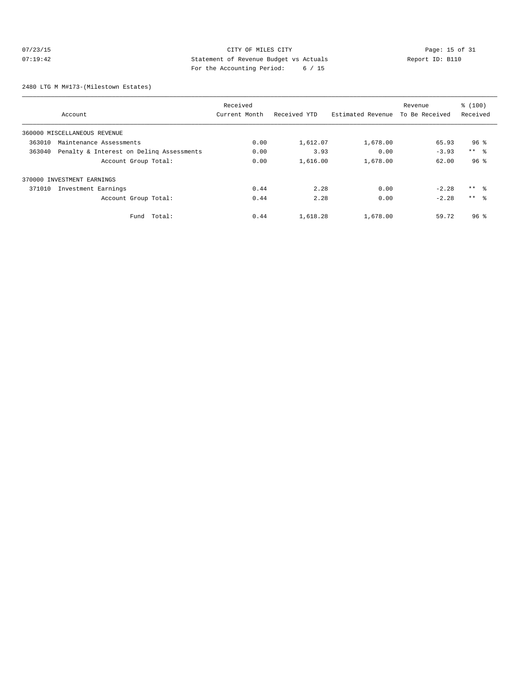# $07/23/15$  Page: 15 of 31 07:19:42 Statement of Revenue Budget vs Actuals Report ID: B110 For the Accounting Period: 6 / 15

2480 LTG M M#173-(Milestown Estates)

|        |                                          | Received      |              |                   | Revenue        | % (100)         |
|--------|------------------------------------------|---------------|--------------|-------------------|----------------|-----------------|
|        | Account                                  | Current Month | Received YTD | Estimated Revenue | To Be Received | Received        |
|        | 360000 MISCELLANEOUS REVENUE             |               |              |                   |                |                 |
| 363010 | Maintenance Assessments                  | 0.00          | 1,612.07     | 1,678.00          | 65.93          | 96 <sup>8</sup> |
| 363040 | Penalty & Interest on Deling Assessments | 0.00          | 3.93         | 0.00              | $-3.93$        | $***$ $ -$      |
|        | Account Group Total:                     | 0.00          | 1,616.00     | 1,678.00          | 62.00          | 96 <sup>8</sup> |
|        | 370000 INVESTMENT EARNINGS               |               |              |                   |                |                 |
| 371010 | Investment Earnings                      | 0.44          | 2.28         | 0.00              | $-2.28$        | $***$ $\approx$ |
|        | Account Group Total:                     | 0.44          | 2.28         | 0.00              | $-2.28$        | $***$ %         |
|        | Fund Total:                              | 0.44          | 1,618.28     | 1,678.00          | 59.72          | 96 <sup>8</sup> |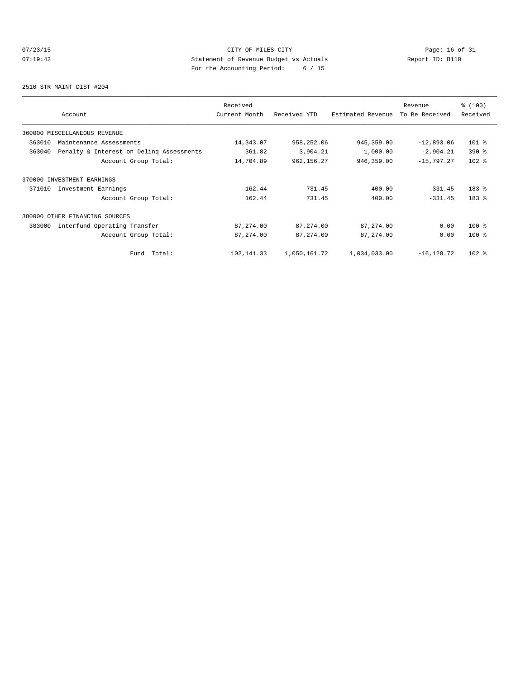# 07/23/15 Page: 16 of 31 07:19:42 Statement of Revenue Budget vs Actuals Report ID: B110 For the Accounting Period: 6 / 15

2510 STR MAINT DIST #204

| Account                                            | Received<br>Current Month | Received YTD | Estimated Revenue | Revenue<br>To Be Received | % (100)<br>Received |
|----------------------------------------------------|---------------------------|--------------|-------------------|---------------------------|---------------------|
| 360000 MISCELLANEOUS REVENUE                       |                           |              |                   |                           |                     |
| 363010<br>Maintenance Assessments                  | 14,343.07                 | 958,252.06   | 945, 359.00       | $-12,893.06$              | $101$ %             |
| 363040<br>Penalty & Interest on Deling Assessments | 361.82                    | 3,904.21     | 1,000.00          | $-2,904.21$               | $390*$              |
| Account Group Total:                               | 14,704.89                 | 962, 156.27  | 946,359.00        | $-15,797.27$              | $102$ %             |
| 370000 INVESTMENT EARNINGS                         |                           |              |                   |                           |                     |
| 371010<br>Investment Earnings                      | 162.44                    | 731.45       | 400.00            | $-331.45$                 | $183$ %             |
| Account Group Total:                               | 162.44                    | 731.45       | 400.00            | $-331.45$                 | 183 %               |
| 380000 OTHER FINANCING SOURCES                     |                           |              |                   |                           |                     |
| Interfund Operating Transfer<br>383000             | 87, 274.00                | 87,274.00    | 87,274.00         | 0.00                      | $100$ %             |
| Account Group Total:                               | 87, 274.00                | 87, 274.00   | 87, 274.00        | 0.00                      | $100*$              |
| Total:<br>Fund                                     | 102,141.33                | 1,050,161.72 | 1,034,033.00      | $-16, 128.72$             | $102*$              |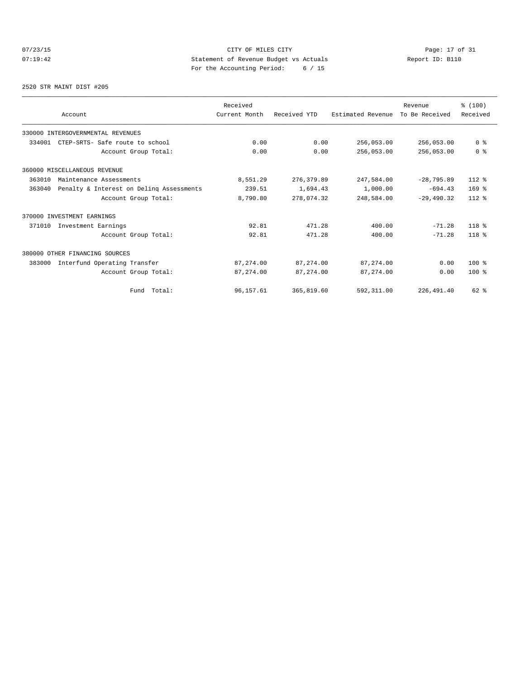# 07/23/15 Page: 17 of 31 07:19:42 Statement of Revenue Budget vs Actuals<br>
Report ID: B110 For the Accounting Period: 6 / 15

#### 2520 STR MAINT DIST #205

|        |                                          | Received      |              |                   | Revenue        | % (100)        |
|--------|------------------------------------------|---------------|--------------|-------------------|----------------|----------------|
|        | Account                                  | Current Month | Received YTD | Estimated Revenue | To Be Received | Received       |
|        | 330000 INTERGOVERNMENTAL REVENUES        |               |              |                   |                |                |
| 334001 | CTEP-SRTS- Safe route to school          | 0.00          | 0.00         | 256,053.00        | 256,053.00     | 0 <sup>8</sup> |
|        | Account Group Total:                     | 0.00          | 0.00         | 256,053.00        | 256,053.00     | 0 <sup>8</sup> |
|        | 360000 MISCELLANEOUS REVENUE             |               |              |                   |                |                |
| 363010 | Maintenance Assessments                  | 8,551.29      | 276, 379.89  | 247,584.00        | $-28,795.89$   | $112*$         |
| 363040 | Penalty & Interest on Deling Assessments | 239.51        | 1,694.43     | 1,000.00          | $-694.43$      | $169$ %        |
|        | Account Group Total:                     | 8,790.80      | 278,074.32   | 248,584.00        | $-29,490.32$   | $112*$         |
|        | 370000 INVESTMENT EARNINGS               |               |              |                   |                |                |
| 371010 | Investment Earnings                      | 92.81         | 471.28       | 400.00            | $-71.28$       | $118*$         |
|        | Account Group Total:                     | 92.81         | 471.28       | 400.00            | $-71.28$       | $118*$         |
|        | 380000 OTHER FINANCING SOURCES           |               |              |                   |                |                |
| 383000 | Interfund Operating Transfer             | 87,274.00     | 87, 274, 00  | 87, 274, 00       | 0.00           | $100*$         |
|        | Account Group Total:                     | 87, 274.00    | 87, 274, 00  | 87,274.00         | 0.00           | $100*$         |
|        | Fund Total:                              | 96,157.61     | 365,819.60   | 592,311.00        | 226,491.40     | 62 %           |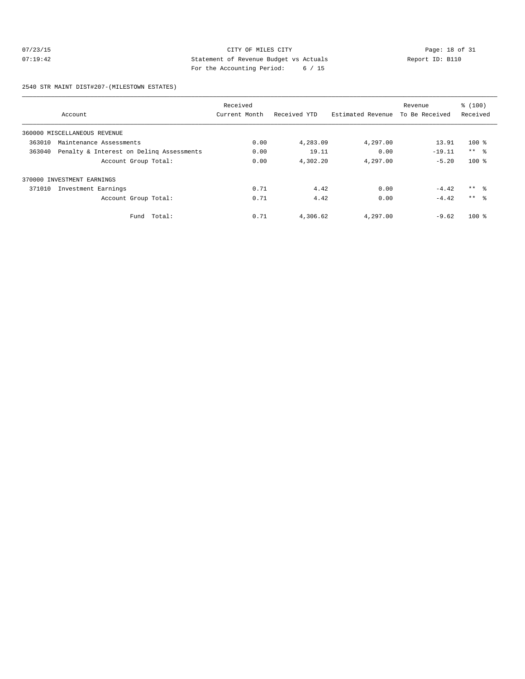# 07/23/15 CITY OF MILES CITY Page: 18 of 31 07:19:42 Statement of Revenue Budget vs Actuals Report ID: B110 For the Accounting Period: 6 / 15

2540 STR MAINT DIST#207-(MILESTOWN ESTATES)

|        |                                          | Received      |              |                   | Revenue        | % (100)    |
|--------|------------------------------------------|---------------|--------------|-------------------|----------------|------------|
|        | Account                                  | Current Month | Received YTD | Estimated Revenue | To Be Received | Received   |
|        | 360000 MISCELLANEOUS REVENUE             |               |              |                   |                |            |
| 363010 | Maintenance Assessments                  | 0.00          | 4,283.09     | 4,297.00          | 13.91          | $100*$     |
| 363040 | Penalty & Interest on Deling Assessments | 0.00          | 19.11        | 0.00              | $-19.11$       | $***$ $ -$ |
|        | Account Group Total:                     | 0.00          | 4,302.20     | 4,297.00          | $-5.20$        | $100*$     |
| 370000 | INVESTMENT EARNINGS                      |               |              |                   |                |            |
| 371010 | Investment Earnings                      | 0.71          | 4.42         | 0.00              | $-4.42$        | $***$ 8    |
|        | Account Group Total:                     | 0.71          | 4.42         | 0.00              | $-4.42$        | $***$ 8    |
|        | Fund Total:                              | 0.71          | 4,306.62     | 4,297.00          | $-9.62$        | $100*$     |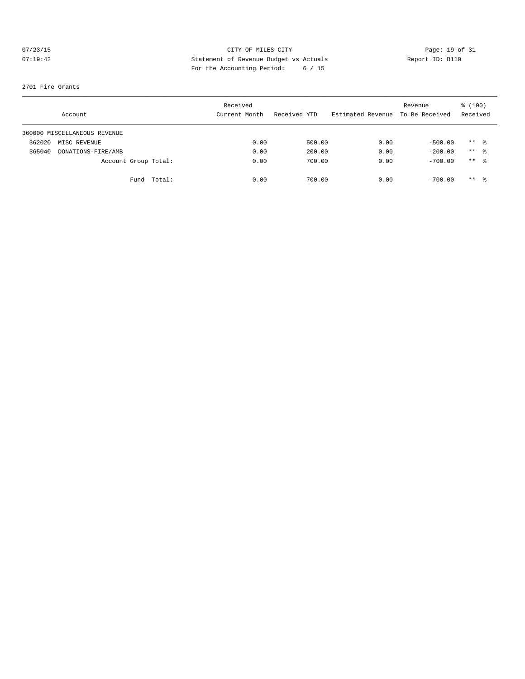# 07/23/15 CITY OF MILES CITY Page: 19 of 31 07:19:42 Statement of Revenue Budget vs Actuals Report ID: B110 For the Accounting Period: 6 / 15

#### 2701 Fire Grants

|        | Account                      |                      | Received<br>Current Month |      | Received YTD | Estimated Revenue | Revenue<br>To Be Received | % (100)<br>Received |  |
|--------|------------------------------|----------------------|---------------------------|------|--------------|-------------------|---------------------------|---------------------|--|
|        | 360000 MISCELLANEOUS REVENUE |                      |                           |      |              |                   |                           |                     |  |
| 362020 | MISC REVENUE                 |                      |                           | 0.00 | 500.00       | 0.00              | $-500.00$                 | $***$ $\frac{6}{5}$ |  |
| 365040 | DONATIONS-FIRE/AMB           |                      |                           | 0.00 | 200.00       | 0.00              | $-200.00$                 | $***$ 8             |  |
|        |                              | Account Group Total: |                           | 0.00 | 700.00       | 0.00              | $-700.00$                 | $***$ 8             |  |
|        |                              | Total:<br>Fund       |                           | 0.00 | 700.00       | 0.00              | $-700.00$                 | $***$ 8             |  |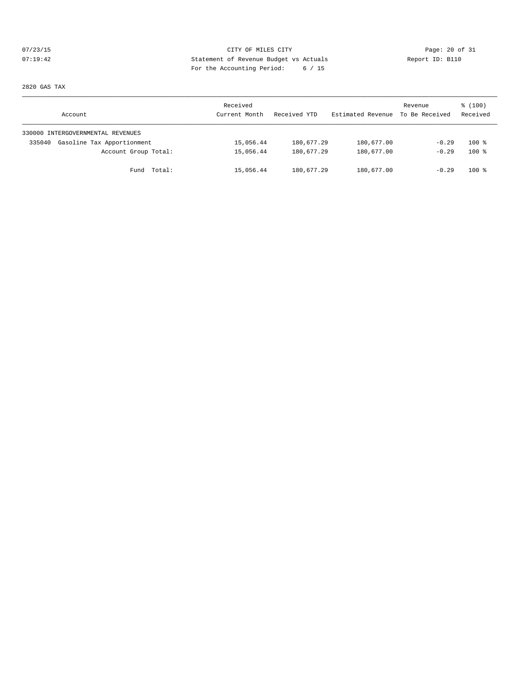# 07/23/15 Page: 20 of 31 07:19:42 Statement of Revenue Budget vs Actuals Report ID: B110 For the Accounting Period: 6 / 15

2820 GAS TAX

| Account                              | Received<br>Current Month | Received YTD | Estimated Revenue | Revenue<br>To Be Received | \$(100)<br>Received |
|--------------------------------------|---------------------------|--------------|-------------------|---------------------------|---------------------|
| 330000 INTERGOVERNMENTAL REVENUES    |                           |              |                   |                           |                     |
| Gasoline Tax Apportionment<br>335040 | 15,056.44                 | 180,677.29   | 180,677.00        | $-0.29$                   | $100*$              |
| Account Group Total:                 | 15,056.44                 | 180,677.29   | 180,677.00        | $-0.29$                   | $100*$              |
| Fund Total:                          | 15,056.44                 | 180,677.29   | 180,677.00        | $-0.29$                   | $100*$              |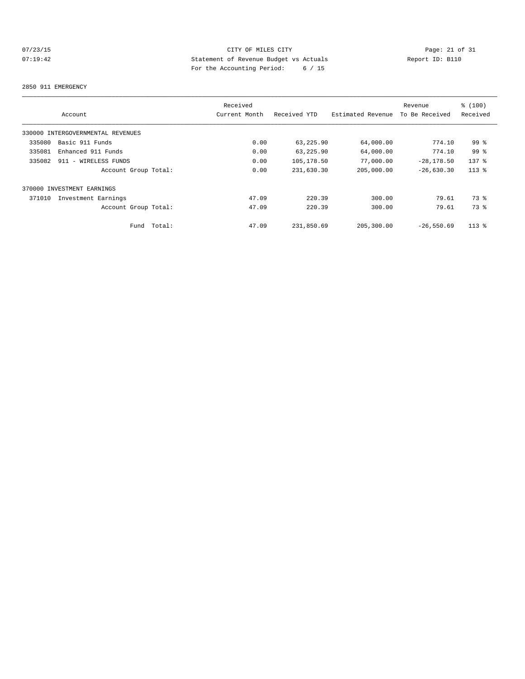# 07/23/15 CITY OF MILES CITY<br>07:19:42 20 OF Statement of Revenue Budget vs Actuals<br>07:19:42 20 OF Statement of Revenue Budget vs Actuals 07:19:42 Statement of Revenue Budget vs Actuals Report ID: B110 For the Accounting Period: 6 / 15

#### 2850 911 EMERGENCY

|                                   | Received      |              |                   | Revenue        | % (100)         |
|-----------------------------------|---------------|--------------|-------------------|----------------|-----------------|
| Account                           | Current Month | Received YTD | Estimated Revenue | To Be Received | Received        |
| 330000 INTERGOVERNMENTAL REVENUES |               |              |                   |                |                 |
| 335080<br>Basic 911 Funds         | 0.00          | 63,225.90    | 64,000.00         | 774.10         | 99 <sup>°</sup> |
| 335081<br>Enhanced 911 Funds      | 0.00          | 63,225.90    | 64,000.00         | 774.10         | 99 <sup>8</sup> |
| 335082<br>911 - WIRELESS FUNDS    | 0.00          | 105,178.50   | 77,000.00         | $-28, 178.50$  | $137$ $%$       |
| Account Group Total:              | 0.00          | 231,630.30   | 205,000.00        | $-26,630.30$   | $113*$          |
| 370000 INVESTMENT EARNINGS        |               |              |                   |                |                 |
| 371010<br>Investment Earnings     | 47.09         | 220.39       | 300.00            | 79.61          | 73 %            |
| Account Group Total:              | 47.09         | 220.39       | 300.00            | 79.61          | 73.8            |
| Total:<br>Fund                    | 47.09         | 231,850.69   | 205,300.00        | $-26,550.69$   | $113*$          |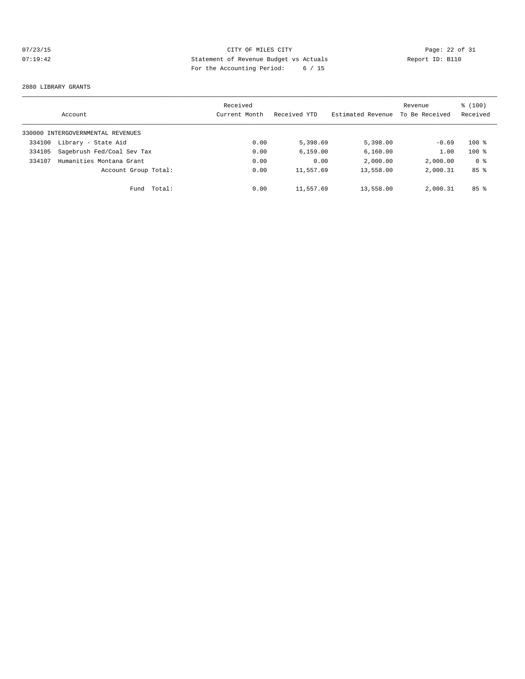# 07/23/15 CITY OF MILES CITY<br>07:19:42 2 Of 31<br>07:19:42 2 Of 31<br>Pay the localities Pauline Police (15 07:19:42 Statement of Revenue Budget vs Actuals Report ID: B110 For the Accounting Period: 6 / 15

#### 2880 LIBRARY GRANTS

|        | Account                           |        | Received<br>Current Month | Received YTD | Estimated Revenue | Revenue<br>To Be Received | % (100)<br>Received |
|--------|-----------------------------------|--------|---------------------------|--------------|-------------------|---------------------------|---------------------|
|        | 330000 INTERGOVERNMENTAL REVENUES |        |                           |              |                   |                           |                     |
| 334100 | Library - State Aid               |        | 0.00                      | 5,398.69     | 5,398,00          | $-0.69$                   | $100*$              |
| 334105 | Sagebrush Fed/Coal Sev Tax        |        | 0.00                      | 6, 159.00    | 6, 160.00         | 1.00                      | $100*$              |
| 334107 | Humanities Montana Grant          |        | 0.00                      | 0.00         | 2,000.00          | 2,000.00                  | 0 <sub>8</sub>      |
|        | Account Group Total:              |        | 0.00                      | 11,557.69    | 13,558.00         | 2,000.31                  | 85 <sup>8</sup>     |
|        | Fund                              | Total: | 0.00                      | 11,557.69    | 13,558.00         | 2,000.31                  | 85 <sup>8</sup>     |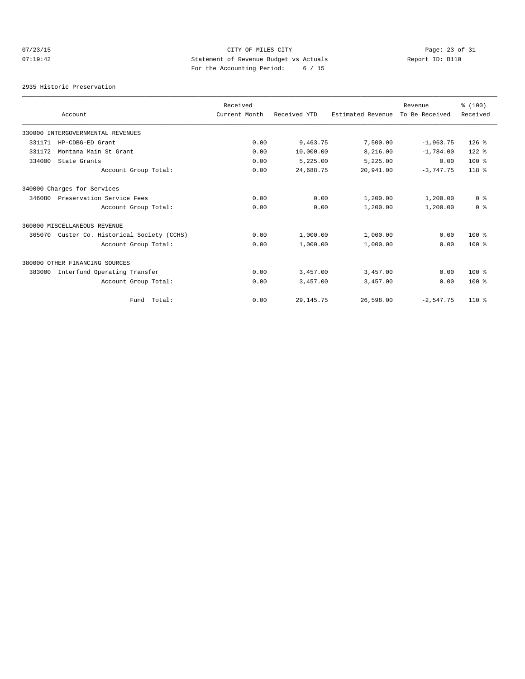# $O7/23/15$  Page: 23 of 31 07:19:42 Statement of Revenue Budget vs Actuals Report ID: B110 For the Accounting Period: 6 / 15

2935 Historic Preservation

|        |                                      | Received      |              |                   | Revenue        | % (100)        |
|--------|--------------------------------------|---------------|--------------|-------------------|----------------|----------------|
|        | Account                              | Current Month | Received YTD | Estimated Revenue | To Be Received | Received       |
|        | 330000 INTERGOVERNMENTAL REVENUES    |               |              |                   |                |                |
| 331171 | HP-CDBG-ED Grant                     | 0.00          | 9,463.75     | 7,500.00          | $-1,963.75$    | $126$ %        |
| 331172 | Montana Main St Grant                | 0.00          | 10,000.00    | 8,216.00          | $-1,784.00$    | $122$ %        |
| 334000 | State Grants                         | 0.00          | 5,225.00     | 5,225.00          | 0.00           | $100*$         |
|        | Account Group Total:                 | 0.00          | 24,688.75    | 20,941.00         | $-3,747.75$    | $118*$         |
|        | 340000 Charges for Services          |               |              |                   |                |                |
| 346080 | Preservation Service Fees            | 0.00          | 0.00         | 1,200.00          | 1,200.00       | 0 <sup>8</sup> |
|        | Account Group Total:                 | 0.00          | 0.00         | 1,200.00          | 1,200.00       | 0 <sup>8</sup> |
|        | 360000 MISCELLANEOUS REVENUE         |               |              |                   |                |                |
| 365070 | Custer Co. Historical Society (CCHS) | 0.00          | 1,000.00     | 1,000.00          | 0.00           | $100*$         |
|        | Account Group Total:                 | 0.00          | 1,000.00     | 1,000.00          | 0.00           | 100%           |
|        | 380000 OTHER FINANCING SOURCES       |               |              |                   |                |                |
| 383000 | Interfund Operating Transfer         | 0.00          | 3,457.00     | 3,457.00          | 0.00           | $100*$         |
|        | Account Group Total:                 | 0.00          | 3,457.00     | 3,457.00          | 0.00           | $100*$         |
|        | Fund Total:                          | 0.00          | 29, 145. 75  | 26,598.00         | $-2,547.75$    | $110*$         |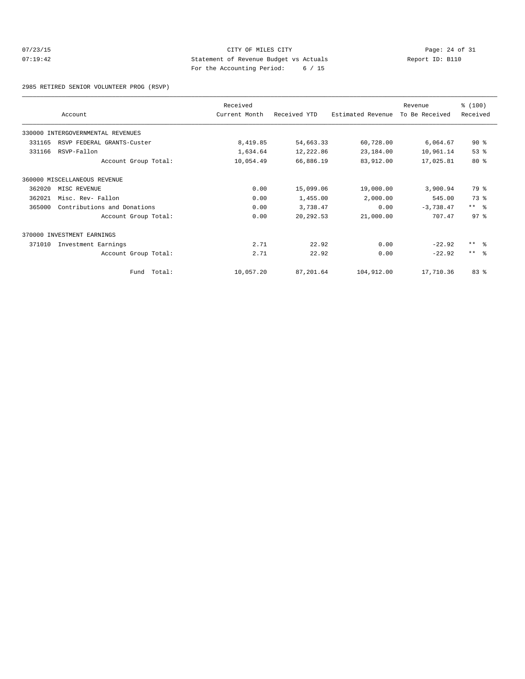# $O7/23/15$  Page: 24 of 31 07:19:42 Statement of Revenue Budget vs Actuals Report ID: B110 For the Accounting Period: 6 / 15

2985 RETIRED SENIOR VOLUNTEER PROG (RSVP)

|        | Account                           | Received<br>Current Month | Received YTD | Estimated Revenue | Revenue<br>To Be Received | % (100)<br>Received |
|--------|-----------------------------------|---------------------------|--------------|-------------------|---------------------------|---------------------|
|        |                                   |                           |              |                   |                           |                     |
|        | 330000 INTERGOVERNMENTAL REVENUES |                           |              |                   |                           |                     |
| 331165 | RSVP FEDERAL GRANTS-Custer        | 8,419.85                  | 54,663.33    | 60,728.00         | 6,064.67                  | $90*$               |
| 331166 | RSVP-Fallon                       | 1,634.64                  | 12,222.86    | 23,184.00         | 10,961.14                 | 53%                 |
|        | Account Group Total:              | 10,054.49                 | 66,886.19    | 83,912.00         | 17,025.81                 | 80%                 |
|        | 360000 MISCELLANEOUS REVENUE      |                           |              |                   |                           |                     |
| 362020 | MISC REVENUE                      | 0.00                      | 15,099.06    | 19,000.00         | 3,900.94                  | 79 %                |
| 362021 | Misc. Rev- Fallon                 | 0.00                      | 1,455.00     | 2,000.00          | 545.00                    | 73 %                |
| 365000 | Contributions and Donations       | 0.00                      | 3,738.47     | 0.00              | $-3,738.47$               | $***$ $ -$          |
|        | Account Group Total:              | 0.00                      | 20, 292.53   | 21,000.00         | 707.47                    | 97 <sup>°</sup>     |
|        | 370000 INVESTMENT EARNINGS        |                           |              |                   |                           |                     |
| 371010 | Investment Earnings               | 2.71                      | 22.92        | 0.00              | $-22.92$                  | $***$ $\approx$     |
|        | Account Group Total:              | 2.71                      | 22.92        | 0.00              | $-22.92$                  | $***$ $\approx$     |
|        | Fund Total:                       | 10,057.20                 | 87,201.64    | 104,912.00        | 17,710.36                 | 83 %                |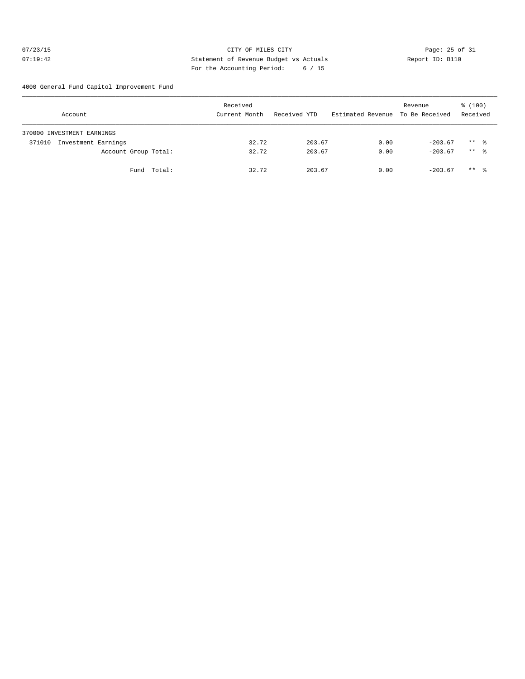#### 07/23/15 Page: 25 of 31 07:19:42 Statement of Revenue Budget vs Actuals Report ID: B110 For the Accounting Period: 6 / 15

4000 General Fund Capitol Improvement Fund

| Account                       | Received<br>Current Month | Received YTD | Estimated Revenue To Be Received | Revenue   | % (100)<br>Received |
|-------------------------------|---------------------------|--------------|----------------------------------|-----------|---------------------|
| 370000 INVESTMENT EARNINGS    |                           |              |                                  |           |                     |
| Investment Earnings<br>371010 | 32.72                     | 203.67       | 0.00                             | $-203.67$ | $***$ $\frac{6}{3}$ |
| Account Group Total:          | 32.72                     | 203.67       | 0.00                             | $-203.67$ | $***$ 8             |
| Fund Total:                   | 32.72                     | 203.67       | 0.00                             | $-203.67$ | $***$ $\frac{6}{3}$ |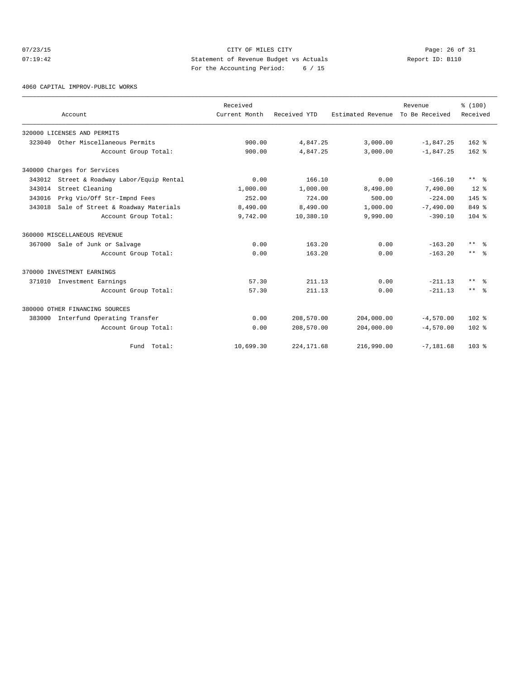# $07/23/15$  Page: 26 of 31 07:19:42 Statement of Revenue Budget vs Actuals Report ID: B110 For the Accounting Period: 6 / 15

4060 CAPITAL IMPROV-PUBLIC WORKS

|        |                                            | Received      |              |                   | Revenue        | % (100)                 |
|--------|--------------------------------------------|---------------|--------------|-------------------|----------------|-------------------------|
|        | Account                                    | Current Month | Received YTD | Estimated Revenue | To Be Received | Received                |
|        | 320000 LICENSES AND PERMITS                |               |              |                   |                |                         |
| 323040 | Other Miscellaneous Permits                | 900.00        | 4,847.25     | 3,000.00          | $-1,847.25$    | $162$ $%$               |
|        | Account Group Total:                       | 900.00        | 4,847.25     | 3,000.00          | $-1,847.25$    | $162$ %                 |
|        | 340000 Charges for Services                |               |              |                   |                |                         |
|        | 343012 Street & Roadway Labor/Equip Rental | 0.00          | 166.10       | 0.00              | $-166.10$      | $***$ %                 |
| 343014 | Street Cleaning                            | 1,000.00      | 1,000.00     | 8,490.00          | 7,490.00       | $12*$                   |
| 343016 | Prkg Vio/Off Str-Impnd Fees                | 252.00        | 724.00       | 500.00            | $-224.00$      | $145*$                  |
| 343018 | Sale of Street & Roadway Materials         | 8,490.00      | 8,490.00     | 1,000.00          | $-7,490.00$    | 849 %                   |
|        | Account Group Total:                       | 9,742.00      | 10,380.10    | 9,990.00          | $-390.10$      | $104$ $%$               |
|        | 360000 MISCELLANEOUS REVENUE               |               |              |                   |                |                         |
| 367000 | Sale of Junk or Salvage                    | 0.00          | 163.20       | 0.00              | $-163.20$      | $***$ $%$               |
|        | Account Group Total:                       | 0.00          | 163.20       | 0.00              | $-163.20$      | $***$ $ -$              |
|        | 370000 INVESTMENT EARNINGS                 |               |              |                   |                |                         |
|        | 371010 Investment Earnings                 | 57.30         | 211.13       | 0.00              | $-211.13$      | $***$ $\approx$         |
|        | Account Group Total:                       | 57.30         | 211.13       | 0.00              | $-211.13$      | $***$ $=$ $\frac{6}{5}$ |
|        | 380000 OTHER FINANCING SOURCES             |               |              |                   |                |                         |
| 383000 | Interfund Operating Transfer               | 0.00          | 208,570.00   | 204,000.00        | $-4,570.00$    | $102$ %                 |
|        | Account Group Total:                       | 0.00          | 208,570.00   | 204,000.00        | $-4,570.00$    | $102*$                  |
|        | Fund Total:                                | 10,699.30     | 224, 171.68  | 216,990.00        | $-7,181.68$    | 103 <sub>8</sub>        |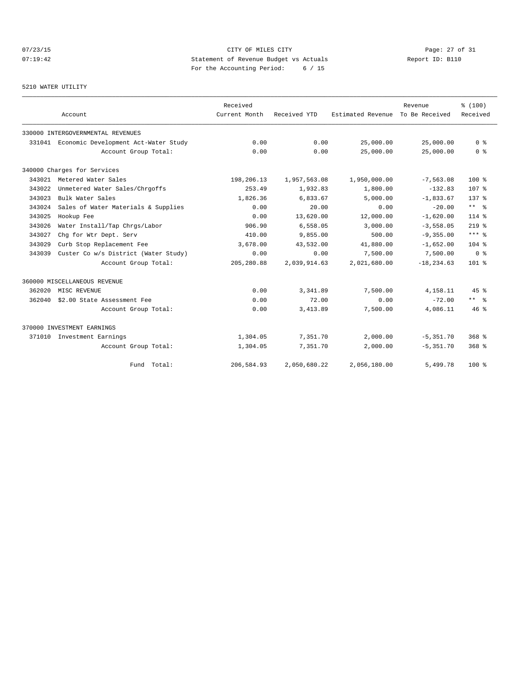# 07/23/15 Page: 27 of 31 07:19:42 Statement of Revenue Budget vs Actuals Report ID: B110 For the Accounting Period: 6 / 15

#### 5210 WATER UTILITY

|        | Account                                     | Received<br>Current Month | Received YTD<br>Estimated Revenue |              | Revenue<br>To Be Received | % (100)              |
|--------|---------------------------------------------|---------------------------|-----------------------------------|--------------|---------------------------|----------------------|
|        |                                             |                           |                                   |              |                           | Received             |
|        | 330000 INTERGOVERNMENTAL REVENUES           |                           |                                   |              |                           |                      |
|        | 331041 Economic Development Act-Water Study | 0.00                      | 0.00                              | 25,000.00    | 25,000.00                 | 0 <sup>8</sup>       |
|        | Account Group Total:                        | 0.00                      | 0.00                              | 25,000.00    | 25,000.00                 | 0 <sup>8</sup>       |
|        | 340000 Charges for Services                 |                           |                                   |              |                           |                      |
|        | 343021 Metered Water Sales                  | 198,206.13                | 1,957,563.08                      | 1,950,000.00 | $-7, 563.08$              | $100*$               |
| 343022 | Unmetered Water Sales/Chrgoffs              | 253.49                    | 1,932.83                          | 1,800.00     | $-132.83$                 | 107 <sup>8</sup>     |
| 343023 | Bulk Water Sales                            | 1,826.36                  | 6,833.67                          | 5.000.00     | $-1,833.67$               | $137*$               |
| 343024 | Sales of Water Materials & Supplies         | 0.00                      | 20.00                             | 0.00         | $-20.00$                  | $***$ $ -$           |
| 343025 | Hookup Fee                                  | 0.00                      | 13,620.00                         | 12,000.00    | $-1,620.00$               | $114*$               |
| 343026 | Water Install/Tap Chrgs/Labor               | 906.90                    | 6,558.05                          | 3,000.00     | $-3,558.05$               | $219$ %              |
| 343027 | Chg for Wtr Dept. Serv                      | 410.00                    | 9,855.00                          | 500.00       | $-9, 355.00$              | $***$ $%$            |
| 343029 | Curb Stop Replacement Fee                   | 3,678.00                  | 43,532.00                         | 41,880.00    | $-1,652.00$               | $104*$               |
| 343039 | Custer Co w/s District (Water Study)        | 0.00                      | 0.00                              | 7,500.00     | 7,500.00                  | 0 <sup>8</sup>       |
|        | Account Group Total:                        | 205,280.88                | 2,039,914.63                      | 2,021,680.00 | $-18, 234.63$             | $101$ %              |
|        | 360000 MISCELLANEOUS REVENUE                |                           |                                   |              |                           |                      |
| 362020 | MISC REVENUE                                | 0.00                      | 3, 341, 89                        | 7,500.00     | 4,158.11                  | $45$ %               |
| 362040 | \$2.00 State Assessment Fee                 | 0.00                      | 72.00                             | 0.00         | $-72.00$                  | $***$ $ \frac{6}{9}$ |
|        | Account Group Total:                        | 0.00                      | 3,413.89                          | 7,500.00     | 4,086.11                  | 46%                  |
|        | 370000 INVESTMENT EARNINGS                  |                           |                                   |              |                           |                      |
| 371010 | Investment Earnings                         | 1,304.05                  | 7,351.70                          | 2,000.00     | $-5,351.70$               | $368$ $%$            |
|        | Account Group Total:                        | 1,304.05                  | 7,351.70                          | 2,000.00     | $-5, 351.70$              | 368 <sup>8</sup>     |
|        | Fund Total:                                 | 206,584.93                | 2,050,680.22                      | 2,056,180.00 | 5,499.78                  | $100*$               |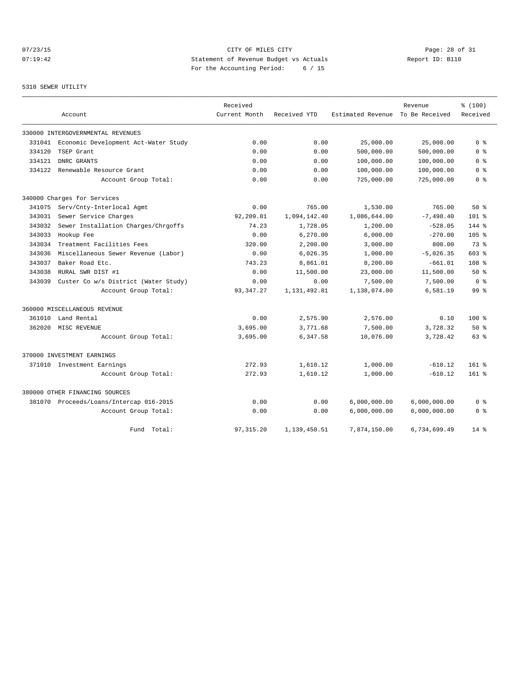# 07/23/15 Page: 28 of 31 07:19:42 Statement of Revenue Budget vs Actuals Report ID: B110 For the Accounting Period: 6 / 15

#### 5310 SEWER UTILITY

|        |                                      | Received      |              |                   | Revenue        | % (100)          |
|--------|--------------------------------------|---------------|--------------|-------------------|----------------|------------------|
|        | Account                              | Current Month | Received YTD | Estimated Revenue | To Be Received | Received         |
|        | 330000 INTERGOVERNMENTAL REVENUES    |               |              |                   |                |                  |
| 331041 | Economic Development Act-Water Study | 0.00          | 0.00         | 25,000.00         | 25,000.00      | 0 <sup>8</sup>   |
| 334120 | TSEP Grant                           | 0.00          | 0.00         | 500,000.00        | 500,000.00     | 0 <sup>8</sup>   |
| 334121 | DNRC GRANTS                          | 0.00          | 0.00         | 100,000.00        | 100,000.00     | 0 <sup>8</sup>   |
| 334122 | Renewable Resource Grant             | 0.00          | 0.00         | 100,000.00        | 100,000.00     | 0 <sup>8</sup>   |
|        | Account Group Total:                 | 0.00          | 0.00         | 725,000.00        | 725,000.00     | 0 <sup>8</sup>   |
|        | 340000 Charges for Services          |               |              |                   |                |                  |
| 341075 | Serv/Cnty-Interlocal Agmt            | 0.00          | 765.00       | 1,530.00          | 765.00         | 50%              |
| 343031 | Sewer Service Charges                | 92,209.81     | 1,094,142.40 | 1,086,644.00      | $-7,498.40$    | $101*$           |
| 343032 | Sewer Installation Charges/Chrgoffs  | 74.23         | 1,728.05     | 1,200.00          | $-528.05$      | 144 %            |
| 343033 | Hookup Fee                           | 0.00          | 6,270.00     | 6,000.00          | $-270.00$      | 105 <sub>8</sub> |
| 343034 | Treatment Facilities Fees            | 320.00        | 2,200.00     | 3,000.00          | 800.00         | 73 %             |
| 343036 | Miscellaneous Sewer Revenue (Labor)  | 0.00          | 6,026.35     | 1,000.00          | $-5,026.35$    | 603 %            |
| 343037 | Baker Road Etc.                      | 743.23        | 8,861.01     | 8,200.00          | $-661.01$      | 108 <sup>°</sup> |
| 343038 | RURAL SWR DIST #1                    | 0.00          | 11,500.00    | 23,000.00         | 11,500.00      | 50%              |
| 343039 | Custer Co w/s District (Water Study) | 0.00          | 0.00         | 7,500.00          | 7,500.00       | 0 <sup>8</sup>   |
|        | Account Group Total:                 | 93, 347.27    | 1,131,492.81 | 1,138,074.00      | 6,581.19       | 99 <sup>8</sup>  |
|        | 360000 MISCELLANEOUS REVENUE         |               |              |                   |                |                  |
| 361010 | Land Rental                          | 0.00          | 2,575.90     | 2,576.00          | 0.10           | 100 %            |
| 362020 | MISC REVENUE                         | 3,695.00      | 3,771.68     | 7,500.00          | 3,728.32       | 50%              |
|        | Account Group Total:                 | 3,695.00      | 6,347.58     | 10,076.00         | 3,728.42       | $63$ $%$         |
|        | 370000 INVESTMENT EARNINGS           |               |              |                   |                |                  |
|        | 371010 Investment Earnings           | 272.93        | 1,610.12     | 1,000.00          | $-610.12$      | $161$ %          |
|        | Account Group Total:                 | 272.93        | 1,610.12     | 1,000.00          | $-610.12$      | $161$ %          |
|        | 380000 OTHER FINANCING SOURCES       |               |              |                   |                |                  |
| 381070 | Proceeds/Loans/Intercap 016-2015     | 0.00          | 0.00         | 6,000,000.00      | 6,000,000.00   | 0 %              |
|        | Account Group Total:                 | 0.00          | 0.00         | 6,000,000.00      | 6,000,000.00   | 0 <sup>8</sup>   |
|        | Fund Total:                          | 97, 315.20    | 1,139,450.51 | 7,874,150.00      | 6,734,699.49   | $14*$            |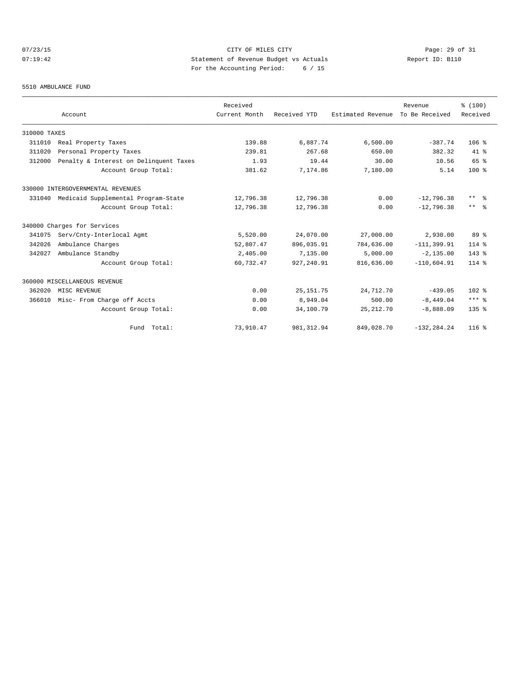# $O7/23/15$  Page: 29 of 31 07:19:42 Statement of Revenue Budget vs Actuals Report ID: B110 For the Accounting Period: 6 / 15

#### 5510 AMBULANCE FUND

|              |                                        | Received      |              |                   | Revenue        | % (100)                 |
|--------------|----------------------------------------|---------------|--------------|-------------------|----------------|-------------------------|
|              | Account                                | Current Month | Received YTD | Estimated Revenue | To Be Received | Received                |
| 310000 TAXES |                                        |               |              |                   |                |                         |
| 311010       | Real Property Taxes                    | 139.88        | 6,887.74     | 6,500.00          | $-387.74$      | $106$ %                 |
| 311020       | Personal Property Taxes                | 239.81        | 267.68       | 650.00            | 382.32         | $41*$                   |
| 312000       | Penalty & Interest on Delinquent Taxes | 1.93          | 19.44        | 30.00             | 10.56          | 65 %                    |
|              | Account Group Total:                   | 381.62        | 7,174.86     | 7,180.00          | 5.14           | $100*$                  |
|              | 330000 INTERGOVERNMENTAL REVENUES      |               |              |                   |                |                         |
| 331040       | Medicaid Supplemental Program-State    | 12,796.38     | 12,796.38    | 0.00              | $-12,796.38$   | $***$ $=$ $\frac{6}{5}$ |
|              | Account Group Total:                   | 12,796.38     | 12,796.38    | 0.00              | $-12,796.38$   | $***$ $ -$              |
|              | 340000 Charges for Services            |               |              |                   |                |                         |
| 341075       | Serv/Cnty-Interlocal Agmt              | 5,520.00      | 24,070.00    | 27,000.00         | 2,930.00       | 89 %                    |
| 342026       | Ambulance Charges                      | 52,807.47     | 896,035.91   | 784,636.00        | $-111, 399.91$ | $114*$                  |
| 342027       | Ambulance Standby                      | 2,405.00      | 7,135.00     | 5,000.00          | $-2, 135.00$   | $143$ %                 |
|              | Account Group Total:                   | 60,732.47     | 927, 240.91  | 816,636.00        | $-110,604.91$  | $114$ %                 |
|              | 360000 MISCELLANEOUS REVENUE           |               |              |                   |                |                         |
| 362020       | MISC REVENUE                           | 0.00          | 25, 151.75   | 24,712.70         | $-439.05$      | 102 %                   |
| 366010       | Misc- From Charge off Accts            | 0.00          | 8,949.04     | 500.00            | $-8,449.04$    | $***$ $%$               |
|              | Account Group Total:                   | 0.00          | 34,100.79    | 25, 212.70        | $-8,888.09$    | $135$ $%$               |
|              | Fund Total:                            | 73,910.47     | 981, 312.94  | 849,028.70        | $-132, 284.24$ | $116$ %                 |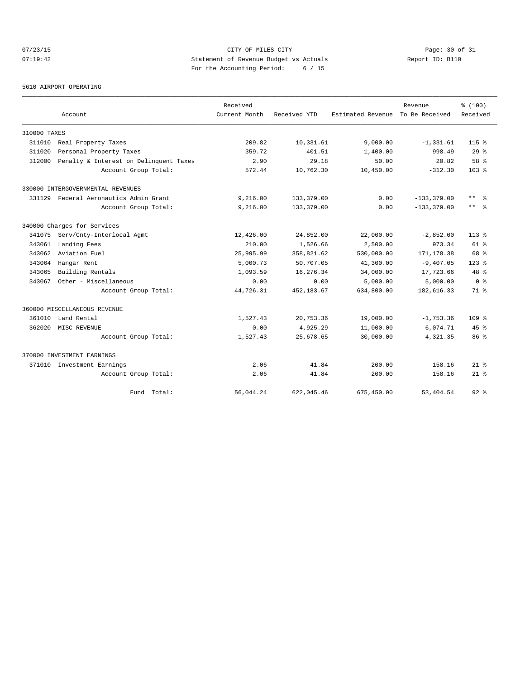# 07/23/15 Page: 30 of 31 07:19:42 Statement of Revenue Budget vs Actuals Report ID: B110 For the Accounting Period: 6 / 15

5610 AIRPORT OPERATING

|              |                                        | Received      |              |                   | Revenue        | % (100)             |
|--------------|----------------------------------------|---------------|--------------|-------------------|----------------|---------------------|
|              | Account                                | Current Month | Received YTD | Estimated Revenue | To Be Received | Received            |
| 310000 TAXES |                                        |               |              |                   |                |                     |
| 311010       | Real Property Taxes                    | 209.82        | 10,331.61    | 9,000.00          | $-1, 331.61$   | $115*$              |
| 311020       | Personal Property Taxes                | 359.72        | 401.51       | 1,400.00          | 998.49         | 29%                 |
| 312000       | Penalty & Interest on Delinquent Taxes | 2.90          | 29.18        | 50.00             | 20.82          | 58 %                |
|              | Account Group Total:                   | 572.44        | 10,762.30    | 10,450.00         | $-312.30$      | $103*$              |
|              | 330000 INTERGOVERNMENTAL REVENUES      |               |              |                   |                |                     |
| 331129       | Federal Aeronautics Admin Grant        | 9,216.00      | 133,379.00   | 0.00              | $-133, 379.00$ | $\star\star$<br>ം ക |
|              | Account Group Total:                   | 9,216.00      | 133,379.00   | 0.00              | $-133, 379.00$ | $***$ $ -$          |
|              | 340000 Charges for Services            |               |              |                   |                |                     |
| 341075       | Serv/Cnty-Interlocal Agmt              | 12,426.00     | 24,852.00    | 22,000.00         | $-2,852.00$    | $113*$              |
| 343061       | Landing Fees                           | 210.00        | 1,526.66     | 2,500.00          | 973.34         | $61$ $%$            |
| 343062       | Aviation Fuel                          | 25,995.99     | 358,821.62   | 530,000.00        | 171, 178.38    | 68 %                |
| 343064       | Hangar Rent                            | 5,000.73      | 50,707.05    | 41,300.00         | $-9,407.05$    | $123$ %             |
| 343065       | Building Rentals                       | 1,093.59      | 16,276.34    | 34,000.00         | 17,723.66      | 48 %                |
| 343067       | Other - Miscellaneous                  | 0.00          | 0.00         | 5,000.00          | 5,000.00       | 0 <sup>8</sup>      |
|              | Account Group Total:                   | 44,726.31     | 452,183.67   | 634,800.00        | 182,616.33     | 71.8                |
|              | 360000 MISCELLANEOUS REVENUE           |               |              |                   |                |                     |
| 361010       | Land Rental                            | 1,527.43      | 20,753.36    | 19,000.00         | $-1,753.36$    | $109$ %             |
| 362020       | MISC REVENUE                           | 0.00          | 4,925.29     | 11,000.00         | 6,074.71       | $45$ $\frac{6}{3}$  |
|              | Account Group Total:                   | 1,527.43      | 25,678.65    | 30,000.00         | 4,321.35       | 86 <sup>8</sup>     |
|              | 370000 INVESTMENT EARNINGS             |               |              |                   |                |                     |
|              | 371010 Investment Earnings             | 2.06          | 41.84        | 200.00            | 158.16         | $21*$               |
|              | Account Group Total:                   | 2.06          | 41.84        | 200.00            | 158.16         | $21*$               |
|              | Fund Total:                            | 56,044.24     | 622,045.46   | 675,450.00        | 53,404.54      | $92$ $%$            |